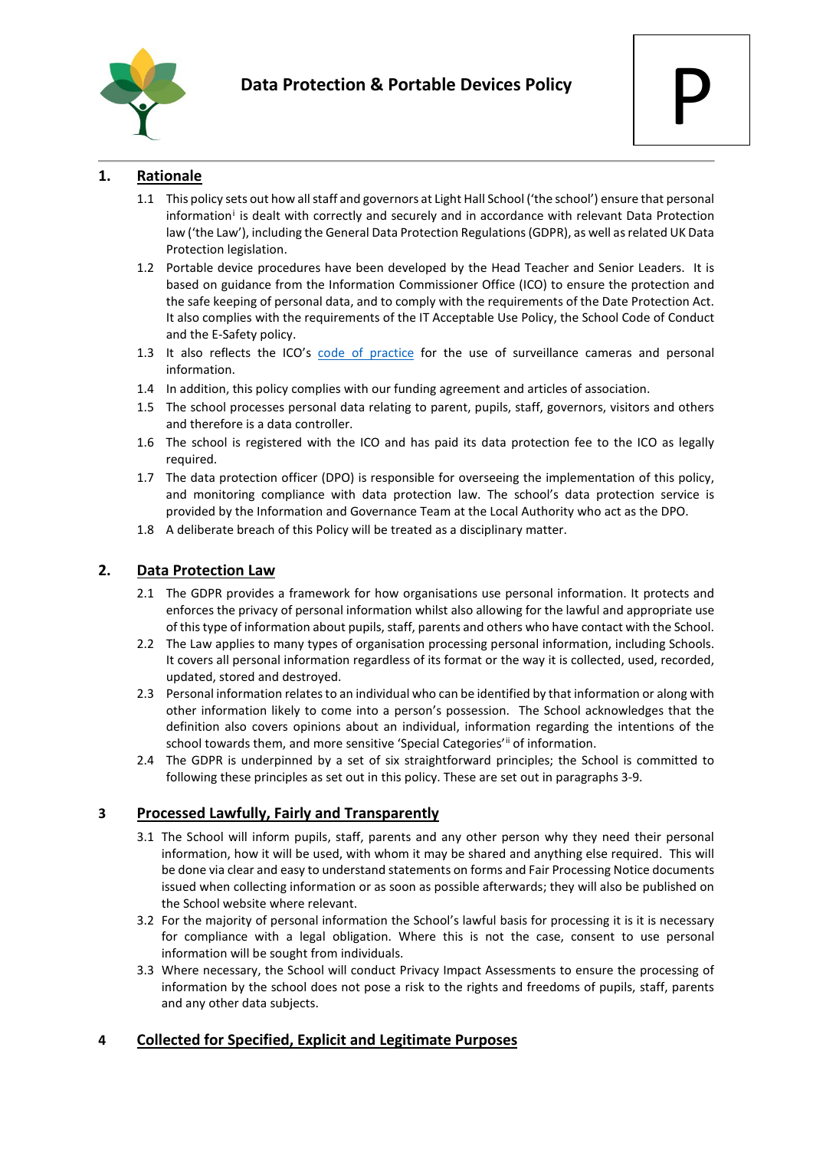

# **1. Rationale**

- 1.1 This policy sets out how all staff and governors at Light Hall School ('the school') ensure that personal [i](#page-2-0)nformation<sup>i</sup> is dealt with correctly and securely and in accordance with relevant Data Protection law ('the Law'), including the General Data Protection Regulations (GDPR), as well as related UK Data Protection legislation.
- 1.2 Portable device procedures have been developed by the Head Teacher and Senior Leaders. It is based on guidance from the Information Commissioner Office (ICO) to ensure the protection and the safe keeping of personal data, and to comply with the requirements of the Date Protection Act. It also complies with the requirements of the IT Acceptable Use Policy, the School Code of Conduct and the E-Safety policy.
- 1.3 It also reflects the ICO's [code of practice](https://ico.org.uk/media/for-organisations/documents/1542/cctv-code-of-practice.pdf) for the use of surveillance cameras and personal information.
- 1.4 In addition, this policy complies with our funding agreement and articles of association.
- 1.5 The school processes personal data relating to parent, pupils, staff, governors, visitors and others and therefore is a data controller.
- 1.6 The school is registered with the ICO and has paid its data protection fee to the ICO as legally required.
- 1.7 The data protection officer (DPO) is responsible for overseeing the implementation of this policy, and monitoring compliance with data protection law. The school's data protection service is provided by the Information and Governance Team at the Local Authority who act as the DPO.
- 1.8 A deliberate breach of this Policy will be treated as a disciplinary matter.

# **2. Data Protection Law**

- 2.1 The GDPR provides a framework for how organisations use personal information. It protects and enforces the privacy of personal information whilst also allowing for the lawful and appropriate use of this type of information about pupils, staff, parents and others who have contact with the School.
- 2.2 The Law applies to many types of organisation processing personal information, including Schools. It covers all personal information regardless of its format or the way it is collected, used, recorded, updated, stored and destroyed.
- 2.3 Personal information relates to an individual who can be identified by that information or along with other information likely to come into a person's possession. The School acknowledges that the definition also covers opinions about an individual, information regarding the intentions of the school towards them, and more sensitive 'Special Categories'<sup>[ii](#page-2-1)</sup> of information.
- 2.4 The GDPR is underpinned by a set of six straightforward principles; the School is committed to following these principles as set out in this policy. These are set out in paragraphs 3-9.

## **3 Processed Lawfully, Fairly and Transparently**

- 3.1 The School will inform pupils, staff, parents and any other person why they need their personal information, how it will be used, with whom it may be shared and anything else required. This will be done via clear and easy to understand statements on forms and Fair Processing Notice documents issued when collecting information or as soon as possible afterwards; they will also be published on the School website where relevant.
- 3.2 For the majority of personal information the School's lawful basis for processing it is it is necessary for compliance with a legal obligation. Where this is not the case, consent to use personal information will be sought from individuals.
- 3.3 Where necessary, the School will conduct Privacy Impact Assessments to ensure the processing of information by the school does not pose a risk to the rights and freedoms of pupils, staff, parents and any other data subjects.

## **4 Collected for Specified, Explicit and Legitimate Purposes**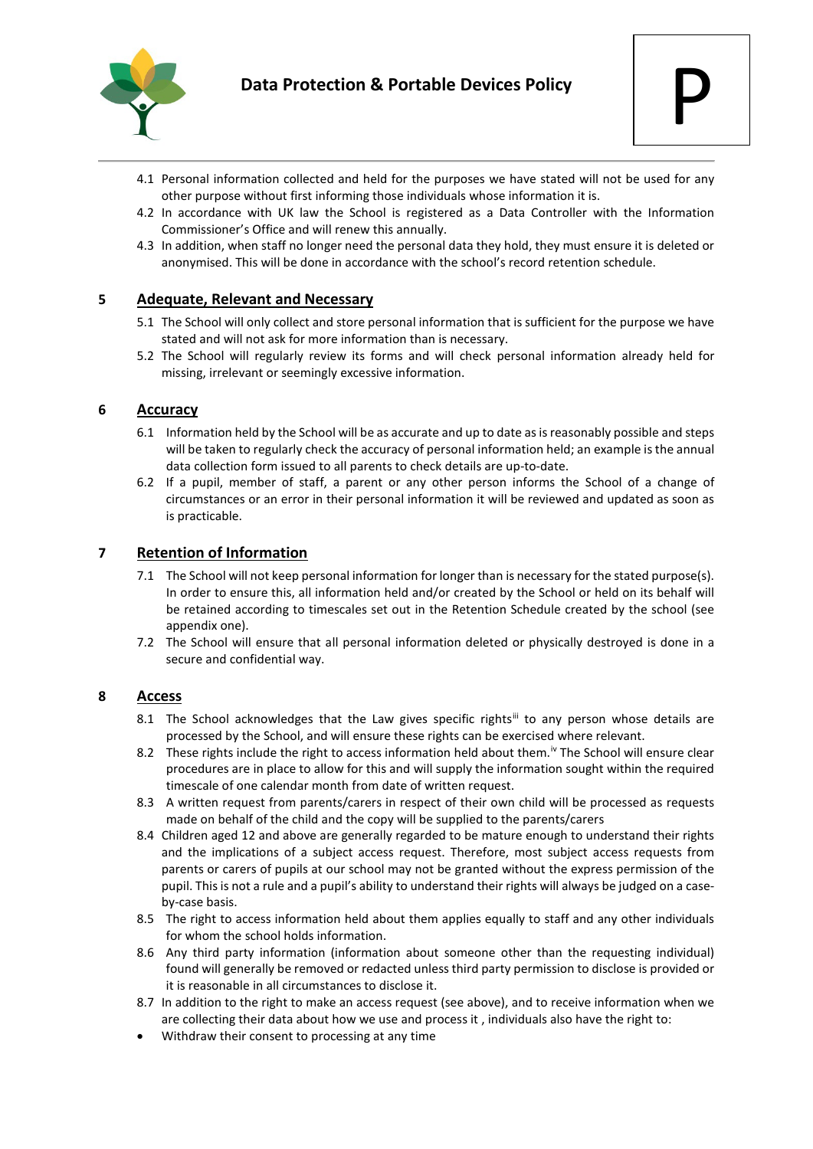

- 4.1 Personal information collected and held for the purposes we have stated will not be used for any other purpose without first informing those individuals whose information it is.
- 4.2 In accordance with UK law the School is registered as a Data Controller with the Information Commissioner's Office and will renew this annually.
- 4.3 In addition, when staff no longer need the personal data they hold, they must ensure it is deleted or anonymised. This will be done in accordance with the school's record retention schedule.

### **5 Adequate, Relevant and Necessary**

- 5.1 The School will only collect and store personal information that is sufficient for the purpose we have stated and will not ask for more information than is necessary.
- 5.2 The School will regularly review its forms and will check personal information already held for missing, irrelevant or seemingly excessive information.

#### **6 Accuracy**

- 6.1 Information held by the School will be as accurate and up to date as is reasonably possible and steps will be taken to regularly check the accuracy of personal information held; an example is the annual data collection form issued to all parents to check details are up-to-date.
- 6.2 If a pupil, member of staff, a parent or any other person informs the School of a change of circumstances or an error in their personal information it will be reviewed and updated as soon as is practicable.

### **7 Retention of Information**

- 7.1 The School will not keep personal information for longer than is necessary for the stated purpose(s). In order to ensure this, all information held and/or created by the School or held on its behalf will be retained according to timescales set out in the Retention Schedule created by the school (see appendix one).
- 7.2 The School will ensure that all personal information deleted or physically destroyed is done in a secure and confidential way.

#### **8 Access**

- 8.1 The School acknowledges that the Law gives specific rights<sup>[iii](#page-2-2)</sup> to any person whose details are processed by the School, and will ensure these rights can be exercised where relevant.
- 8.2 These rights include the right to access information held about them.<sup>[iv](#page-2-3)</sup> The School will ensure clear procedures are in place to allow for this and will supply the information sought within the required timescale of one calendar month from date of written request.
- 8.3 A written request from parents/carers in respect of their own child will be processed as requests made on behalf of the child and the copy will be supplied to the parents/carers
- 8.4 Children aged 12 and above are generally regarded to be mature enough to understand their rights and the implications of a subject access request. Therefore, most subject access requests from parents or carers of pupils at our school may not be granted without the express permission of the pupil. This is not a rule and a pupil's ability to understand their rights will always be judged on a caseby-case basis.
- 8.5 The right to access information held about them applies equally to staff and any other individuals for whom the school holds information.
- 8.6 Any third party information (information about someone other than the requesting individual) found will generally be removed or redacted unless third party permission to disclose is provided or it is reasonable in all circumstances to disclose it.
- 8.7 In addition to the right to make an access request (see above), and to receive information when we are collecting their data about how we use and process it , individuals also have the right to:
- Withdraw their consent to processing at any time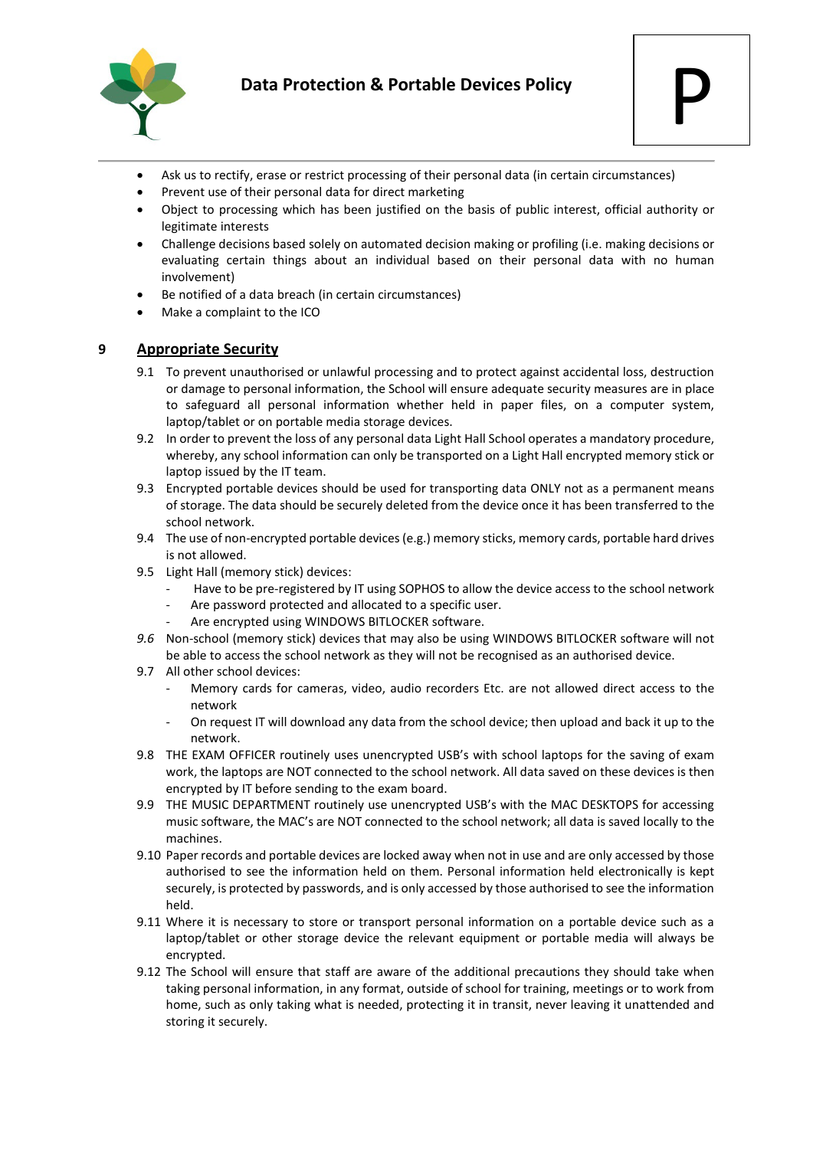

- Ask us to rectify, erase or restrict processing of their personal data (in certain circumstances)
- Prevent use of their personal data for direct marketing
- Object to processing which has been justified on the basis of public interest, official authority or legitimate interests
- Challenge decisions based solely on automated decision making or profiling (i.e. making decisions or evaluating certain things about an individual based on their personal data with no human involvement)
- Be notified of a data breach (in certain circumstances)
- Make a complaint to the ICO

#### **9 Appropriate Security**

- 9.1 To prevent unauthorised or unlawful processing and to protect against accidental loss, destruction or damage to personal information, the School will ensure adequate security measures are in place to safeguard all personal information whether held in paper files, on a computer system, laptop/tablet or on portable media storage devices.
- 9.2 In order to prevent the loss of any personal data Light Hall School operates a mandatory procedure, whereby, any school information can only be transported on a Light Hall encrypted memory stick or laptop issued by the IT team.
- 9.3 Encrypted portable devices should be used for transporting data ONLY not as a permanent means of storage. The data should be securely deleted from the device once it has been transferred to the school network.
- 9.4 The use of non-encrypted portable devices (e.g.) memory sticks, memory cards, portable hard drives is not allowed.
- 9.5 Light Hall (memory stick) devices:
	- Have to be pre-registered by IT using SOPHOS to allow the device access to the school network
	- Are password protected and allocated to a specific user.
	- Are encrypted using WINDOWS BITLOCKER software.
- *9.6* Non-school (memory stick) devices that may also be using WINDOWS BITLOCKER software will not be able to access the school network as they will not be recognised as an authorised device.
- 9.7 All other school devices:
	- Memory cards for cameras, video, audio recorders Etc. are not allowed direct access to the network
	- On request IT will download any data from the school device; then upload and back it up to the network.
- <span id="page-2-1"></span><span id="page-2-0"></span>9.8 THE EXAM OFFICER routinely uses unencrypted USB's with school laptops for the saving of exam work, the laptops are NOT connected to the school network. All data saved on these devices is then encrypted by IT before sending to the exam board.
- <span id="page-2-2"></span>9.9 THE MUSIC DEPARTMENT routinely use unencrypted USB's with the MAC DESKTOPS for accessing music software, the MAC's are NOT connected to the school network; all data is saved locally to the machines.
- <span id="page-2-3"></span>9.10 Paper records and portable devices are locked away when not in use and are only accessed by those authorised to see the information held on them. Personal information held electronically is kept securely, is protected by passwords, and is only accessed by those authorised to see the information held.
- 9.11 Where it is necessary to store or transport personal information on a portable device such as a laptop/tablet or other storage device the relevant equipment or portable media will always be encrypted.
- 9.12 The School will ensure that staff are aware of the additional precautions they should take when taking personal information, in any format, outside of school for training, meetings or to work from home, such as only taking what is needed, protecting it in transit, never leaving it unattended and storing it securely.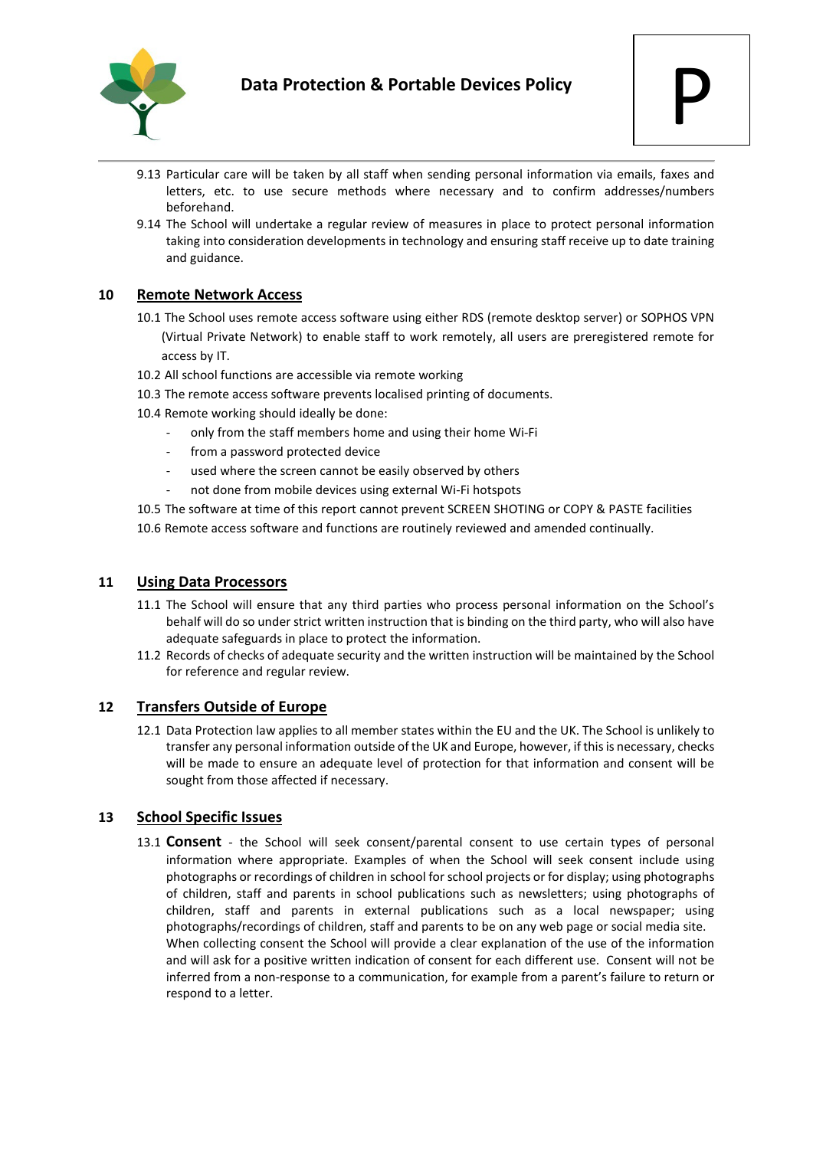

- 9.13 Particular care will be taken by all staff when sending personal information via emails, faxes and letters, etc. to use secure methods where necessary and to confirm addresses/numbers beforehand.
- 9.14 The School will undertake a regular review of measures in place to protect personal information taking into consideration developments in technology and ensuring staff receive up to date training and guidance.

### **10 Remote Network Access**

- 10.1 The School uses remote access software using either RDS (remote desktop server) or SOPHOS VPN (Virtual Private Network) to enable staff to work remotely, all users are preregistered remote for access by IT.
- 10.2 All school functions are accessible via remote working
- 10.3 The remote access software prevents localised printing of documents.
- 10.4 Remote working should ideally be done:
	- only from the staff members home and using their home Wi-Fi
	- from a password protected device
	- used where the screen cannot be easily observed by others
	- not done from mobile devices using external Wi-Fi hotspots
- 10.5 The software at time of this report cannot prevent SCREEN SHOTING or COPY & PASTE facilities
- 10.6 Remote access software and functions are routinely reviewed and amended continually.

#### **11 Using Data Processors**

- 11.1 The School will ensure that any third parties who process personal information on the School's behalf will do so under strict written instruction that is binding on the third party, who will also have adequate safeguards in place to protect the information.
- 11.2 Records of checks of adequate security and the written instruction will be maintained by the School for reference and regular review.

#### **12 Transfers Outside of Europe**

12.1 Data Protection law applies to all member states within the EU and the UK. The School is unlikely to transfer any personal information outside of the UK and Europe, however, if this is necessary, checks will be made to ensure an adequate level of protection for that information and consent will be sought from those affected if necessary.

## **13 School Specific Issues**

13.1 **Consent** - the School will seek consent/parental consent to use certain types of personal information where appropriate. Examples of when the School will seek consent include using photographs or recordings of children in school for school projects or for display; using photographs of children, staff and parents in school publications such as newsletters; using photographs of children, staff and parents in external publications such as a local newspaper; using photographs/recordings of children, staff and parents to be on any web page or social media site. When collecting consent the School will provide a clear explanation of the use of the information and will ask for a positive written indication of consent for each different use. Consent will not be inferred from a non-response to a communication, for example from a parent's failure to return or respond to a letter.